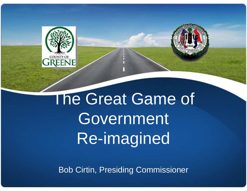

## The Great Game of **Government** Re-imagined

Bob Cirtin, Presiding Commissioner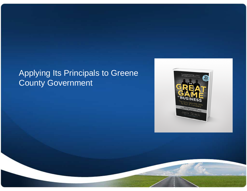### Applying Its Principals to Greene County Government

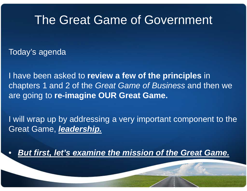## The Great Game of Government

Today's agenda

I have been asked to **review a few of the principles** in chapters 1 and 2 of the Great Game of Business and then we are going to **re-imagine OUR Great Game.**

I will wrap up by addressing a very important component to the Great Game, **leadership.**

•**But first, let's examine the mission of the Great Game.**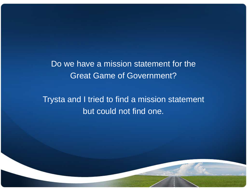Do we have a mission statement for the Great Game of Government?

Trysta and I tried to find a mission statement but could not find one.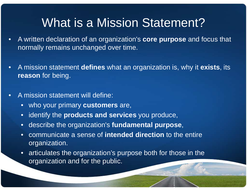## What is a Mission Statement?

- • A written declaration of an organization's **core purpose** and focus that normally remains unchanged over time.
- • A mission statement **defines** what an organization is, why it **exists**, its **reason** for being.
- • A mission statement will define:
	- $\bullet$ who your primary **customers** are,
	- $\bullet$ identify the **products and services** you produce,
	- $\bullet$ describe the organization's **fundamental purpose**,
	- • communicate a sense of **intended direction** to the entire organization.
	- $\bullet$  articulates the organization's purpose both for those in the organization and for the public.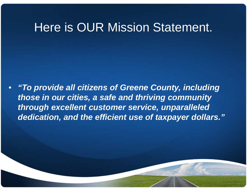## Here is OUR Mission Statement.

 $\bullet$  **"To provide all citizens of Greene County, including those in our cities, a safe and thriving community through excellent customer service, unparalleled dedication, and the efficient use of taxpayer dollars."**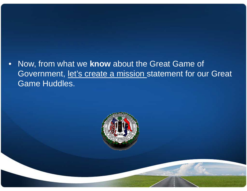•Now, from what we **know** about the Great Game of Government, let's create a mission statement for our Great Game Huddles.

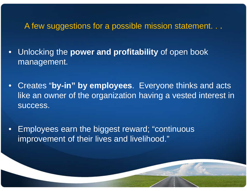#### A few suggestions for a possible mission statement. . .

- • Unlocking the **power and profitability** of open book management.
- Creates "**by-in" by employees**. Everyone thinks and acts like an owner of the organization having a vested interest in success.
- • Employees earn the biggest reward; "continuous improvement of their lives and livelihood."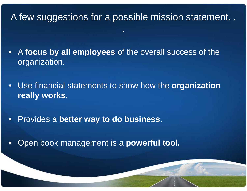#### A few suggestions for a possible mission statement. .

- • A **focus by all employees** of the overall success of the organization.
- Use financial statements to show how the **organization really works**.
- •Provides a **better way to do business**.
- •Open book management is a **powerful tool.**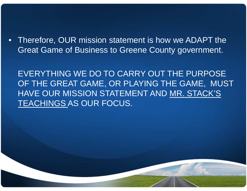• Therefore, OUR mission statement is how we ADAPT the Great Game of Business to Greene County government.

EVERYTHING WE DO TO CARRY OUT THE PURPOSE OF THE GREAT GAME, OR PLAYING THE GAME, MUST HAVE OUR MISSION STATEMENT AND MR. STACK'S TEACHINGS AS OUR FOCUS.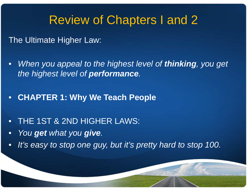## Review of Chapters I and 2

The Ultimate Higher Law:

- $\bullet$  When you appeal to the highest level of **thinking**, you get the highest level of **performance**.
- **CHAPTER 1: Why We Teach People**
- $\bullet$ THE 1ST & 2ND HIGHER LAWS:
- •You **get** what you **give**.
- •It's easy to stop one guy, but it's pretty hard to stop 100.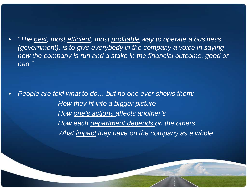•"The <u>best</u>, most efficient, most profitable way to operate a business (government), is to give everybody in the company a voice in saying how the company is run and a stake in the financial outcome, good or bad."

•People are told what to do....but no one ever shows them: How they <u>fit</u> into a bigger picture How <u>one's actions</u> affects another's How each department depends on the others What *impact* they have on the company as a whole.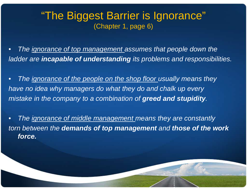#### "The Biggest Barrier is Ignorance"(Chapter 1, page 6)

•The ignorance of top management assumes that people down the ladder are **incapable of understanding** its problems and responsibilities.

 $\bullet$ The ignorance of the people on the shop floor usually means they have no idea why managers do what they do and chalk up everymistake in the company to a combination of **greed and stupidity**.

 $\bullet$ The ignorance of middle management means they are constantly torn between the **demands of top management** and **those of the work force.**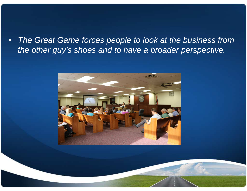• The Great Game forces people to look at the business fromthe other guy's shoes and to have a broader perspective.

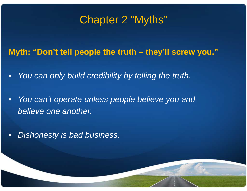## Chapter 2 "Myths"

**Myth: "Don't tell people the truth – they'll screw you."**

- •You can only build credibility by telling the truth.
- $\bullet$  You can't operate unless people believe you andbelieve one another.
- •Dishonesty is bad business.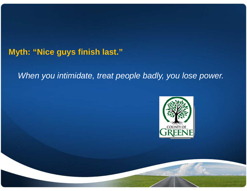#### **Myth: "Nice guys finish last."**

#### When you intimidate, treat people badly, you lose power.

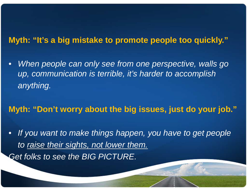#### **Myth: "It's a big mistake to promote people too quickly."**

 $\bullet$ When people can only see from one perspective, walls go up, communication is terrible, it's harder to accomplishanything.

**Myth: "Don't worry about the big issues, just do your job."**

•If you want to make things happen, you have to get people to raise their sights, not lower them. Get folks to see the BIG PICTURE.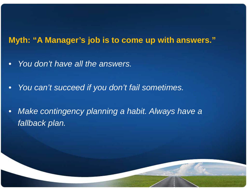#### **Myth: "A Manager's job is to come up with answers."**

- $\bullet$ You don't have all the answers.
- •You can't succeed if you don't fail sometimes.
- • Make contingency planning a habit. Always have afallback plan.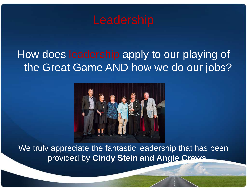

## How does leadership apply to our playing of the Great Game AND how we do our jobs?



We truly appreciate the fantastic leadership that has been provided by **Cindy Stein and Angie Crews.**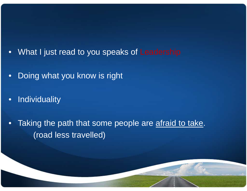- •What I just read to you speaks of Leadership
- •Doing what you know is right
- $\bullet$ **Individuality**
- •Taking the path that some people are afraid to take. (road less travelled)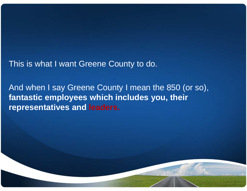This is what I want Greene County to do.

And when I say Greene County I mean the 850 (or so), **fantastic employees which includes you, their representatives and leaders.**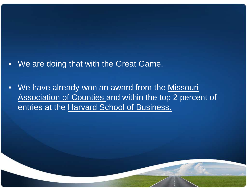- •We are doing that with the Great Game.
- •We have already won an award from the Missouri Association of Counties and within the top 2 percent of entries at the Harvard School of Business.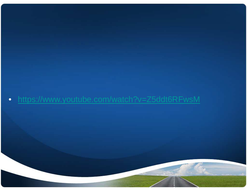#### •https://www.youtube.com/watch?v=Z5ddt6RFwsM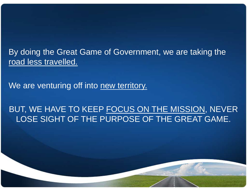By doing the Great Game of Government, we are taking the road less travelled.

We are venturing off into new territory.

#### BUT, WE HAVE TO KEEP FOCUS ON THE MISSION, NEVER LOSE SIGHT OF THE PURPOSE OF THE GREAT GAME.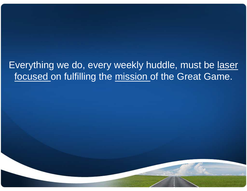### Everything we do, every weekly huddle, must be laser focused on fulfilling the mission of the Great Game.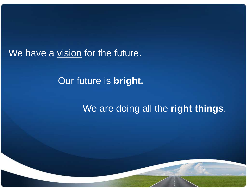We have a <u>vision</u> for the future.

Our future is **bright.**

We are doing all the **right things**.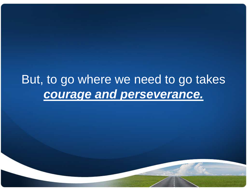## But, to go where we need to go takes **courage and perseverance.**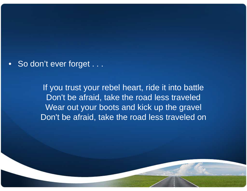• So don't ever forget . . .

If you trust your rebel heart, ride it into battle Don't be afraid, take the road less traveled Wear out your boots and kick up the gravelDon't be afraid, take the road less traveled on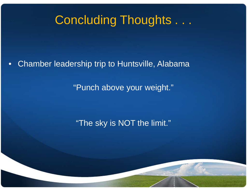## Concluding Thoughts . . .

•Chamber leadership trip to Huntsville, Alabama

"Punch above your weight."

"The sky is NOT the limit."